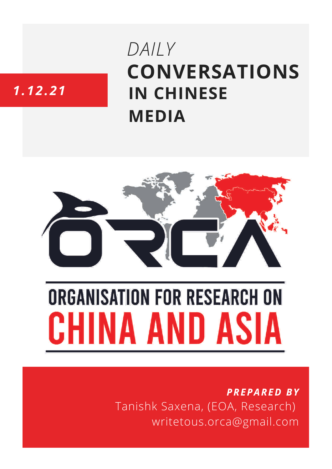## **CONVERSATIONS IN CHINESE MEDIA** *DAILY*

### *1.12.21*



# **ORGANISATION FOR RESEARCH ON** HINA AND ASIA

*PREPARED BY* Tanishk Saxena, (EOA, Research) writetous.orca@gmail.com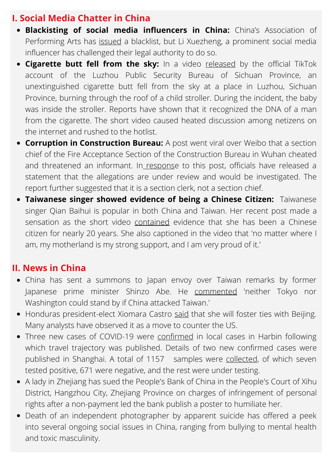#### **I. Social Media Chatter in China**

- **Blackisting of social media influencers in China:** China's Association of Performing Arts has [issued](https://www.whatsonweibo.com/li-xuezheng-defies-online-celebrity-blacklist-says-hell-help-zhang-zhehan-file-lawsuit/) a blacklist, but Li Xuezheng, a prominent social media influencer has challenged their legal authority to do so.
- **Cigarette butt fell from the sky:** In a video [released](https://www.toutiao.com/a7036942709306851853/) by the official TikTok account of the Luzhou Public Security Bureau of Sichuan Province, an unextinguished cigarette butt fell from the sky at a place in Luzhou, Sichuan Province, burning through the roof of a child stroller. During the incident, the baby was inside the stroller. Reports have shown that it recognized the DNA of a man from the cigarette. The short video caused heated discussion among netizens on the internet and rushed to the hotlist.
- **Corruption in Construction Bureau:** A post went viral over Weibo that a section chief of the Fire Acceptance Section of the Construction Bureau in Wuhan cheated and threatened an informant. In [respons](https://www.sohu.com/a/505065536_120094090)e to this post, officials have released a statement that the allegations are under review and would be investigated. The report further suggested that it is a section clerk, not a section chief.
- **Taiwanese singer showed evidence of being a Chinese Citizen:** Taiwanese singer Qian Baihui is popular in both China and Taiwan. Her recent post made a sensation as the short video [contained](https://news.ifeng.com/c/8BeHBe1OnkN) evidence that she has been a Chinese citizen for nearly 20 years. She also captioned in the video that 'no matter where I am, my motherland is my strong support, and I am very proud of it.'

#### **II. News in China**

- China has sent a summons to Japan envoy over Taiwan remarks by former Japanese prime minister Shinzo Abe. He [commented](https://www.hindustantimes.com/world-news/china-summons-japan-envoy-over-ex-pm-s-taiwan-remarks-101638440362494.html) 'neither Tokyo nor Washington could stand by if China attacked Taiwan.'
- Honduras president-elect Xiomara Castro [said](https://www.theguardian.com/world/2021/dec/01/honduras-xiomara-castro-taiwan-china-diplomacy) that she will foster ties with Beijing. Many analysts have observed it as a move to counter the US.
- Three new cases of COVID-19 were [confirmed](https://www.thepaper.cn/newsDetail_forward_15655596) in local cases in Harbin following which travel trajectory was published. Details of two new confirmed cases were published in Shanghai. A total of 1157 samples were [collected,](https://www.sohu.com/a/505083286_114988) of which seven tested positive, 671 were negative, and the rest were under testing.
- A lady in Zhejiang has sued the People's Bank of China in the People's Court of Xihu District, Hangzhou City, Zhejiang Province on charges of infringement of personal rights after a non-payment led the bank publish a poster to humiliate her.
- Death of an independent photographer by apparent suicide has offered a peek into several ongoing social issues in China, ranging from bullying to mental health and toxic masculinity.